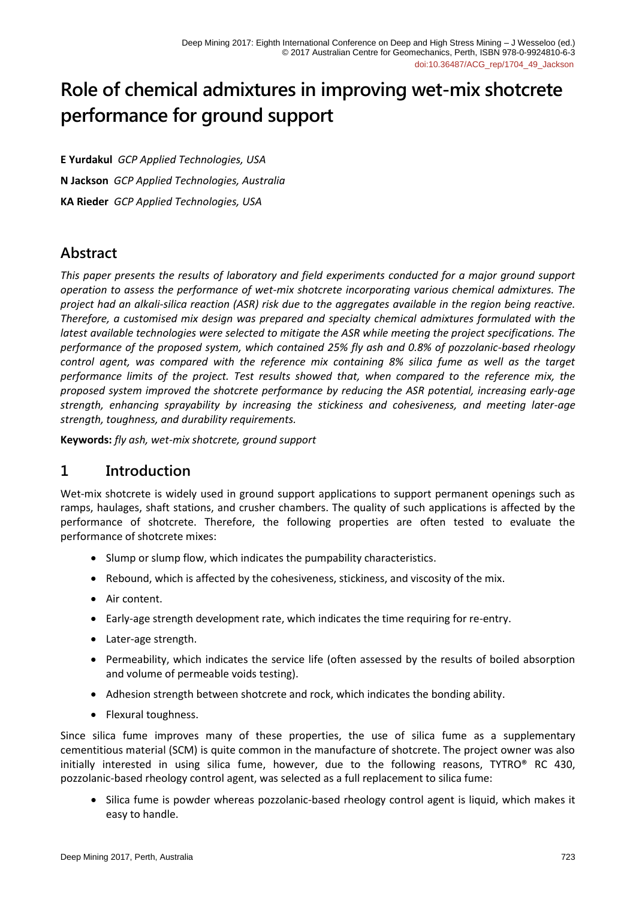# **Role of chemical admixtures in improving wet-mix shotcrete performance for ground support**

**E Yurdakul** *GCP Applied Technologies, USA* **N Jackson** *GCP Applied Technologies, Australia* **KA Rieder** *GCP Applied Technologies, USA*

# **Abstract**

*This paper presents the results of laboratory and field experiments conducted for a major ground support operation to assess the performance of wet-mix shotcrete incorporating various chemical admixtures. The project had an alkali-silica reaction (ASR) risk due to the aggregates available in the region being reactive. Therefore, a customised mix design was prepared and specialty chemical admixtures formulated with the latest available technologies were selected to mitigate the ASR while meeting the project specifications. The performance of the proposed system, which contained 25% fly ash and 0.8% of pozzolanic-based rheology control agent, was compared with the reference mix containing 8% silica fume as well as the target performance limits of the project. Test results showed that, when compared to the reference mix, the proposed system improved the shotcrete performance by reducing the ASR potential, increasing early-age strength, enhancing sprayability by increasing the stickiness and cohesiveness, and meeting later-age strength, toughness, and durability requirements.*

**Keywords:** *fly ash, wet-mix shotcrete, ground support*

# **1 Introduction**

Wet-mix shotcrete is widely used in ground support applications to support permanent openings such as ramps, haulages, shaft stations, and crusher chambers. The quality of such applications is affected by the performance of shotcrete. Therefore, the following properties are often tested to evaluate the performance of shotcrete mixes:

- Slump or slump flow, which indicates the pumpability characteristics.
- Rebound, which is affected by the cohesiveness, stickiness, and viscosity of the mix.
- Air content.
- Early-age strength development rate, which indicates the time requiring for re-entry.
- Later-age strength.
- Permeability, which indicates the service life (often assessed by the results of boiled absorption and volume of permeable voids testing).
- Adhesion strength between shotcrete and rock, which indicates the bonding ability.
- Flexural toughness.

Since silica fume improves many of these properties, the use of silica fume as a supplementary cementitious material (SCM) is quite common in the manufacture of shotcrete. The project owner was also initially interested in using silica fume, however, due to the following reasons, TYTRO® RC 430, pozzolanic-based rheology control agent, was selected as a full replacement to silica fume:

• Silica fume is powder whereas pozzolanic-based rheology control agent is liquid, which makes it easy to handle.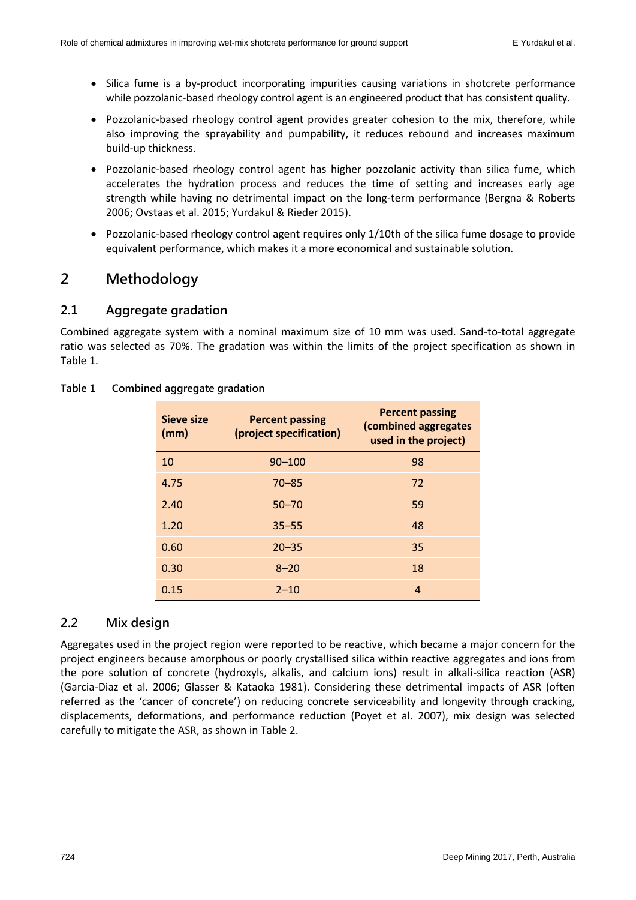- Silica fume is a by-product incorporating impurities causing variations in shotcrete performance while pozzolanic-based rheology control agent is an engineered product that has consistent quality.
- Pozzolanic-based rheology control agent provides greater cohesion to the mix, therefore, while also improving the sprayability and pumpability, it reduces rebound and increases maximum build-up thickness.
- Pozzolanic-based rheology control agent has higher pozzolanic activity than silica fume, which accelerates the hydration process and reduces the time of setting and increases early age strength while having no detrimental impact on the long-term performance (Bergna & Roberts 2006; Ovstaas et al. 2015; Yurdakul & Rieder 2015).
- Pozzolanic-based rheology control agent requires only 1/10th of the silica fume dosage to provide equivalent performance, which makes it a more economical and sustainable solution.

# **2 Methodology**

### **2.1 Aggregate gradation**

Combined aggregate system with a nominal maximum size of 10 mm was used. Sand-to-total aggregate ratio was selected as 70%. The gradation was within the limits of the project specification as shown in Table 1.

| Sieve size<br>(mm) | <b>Percent passing</b><br>(project specification) | <b>Percent passing</b><br>(combined aggregates<br>used in the project) |
|--------------------|---------------------------------------------------|------------------------------------------------------------------------|
| 10                 | $90 - 100$                                        | 98                                                                     |
| 4.75               | $70 - 85$                                         | 72                                                                     |
| 2.40               | $50 - 70$                                         | 59                                                                     |
| 1.20               | $35 - 55$                                         | 48                                                                     |
| 0.60               | $20 - 35$                                         | 35                                                                     |
| 0.30               | $8 - 20$                                          | 18                                                                     |
| 0.15               | $2 - 10$                                          | 4                                                                      |

#### **Table 1 Combined aggregate gradation**

# **2.2 Mix design**

Aggregates used in the project region were reported to be reactive, which became a major concern for the project engineers because amorphous or poorly crystallised silica within reactive aggregates and ions from the pore solution of concrete (hydroxyls, alkalis, and calcium ions) result in alkali-silica reaction (ASR) (Garcia-Diaz et al. 2006; Glasser & Kataoka 1981). Considering these detrimental impacts of ASR (often referred as the 'cancer of concrete') on reducing concrete serviceability and longevity through cracking, displacements, deformations, and performance reduction (Poyet et al. 2007), mix design was selected carefully to mitigate the ASR, as shown in Table 2.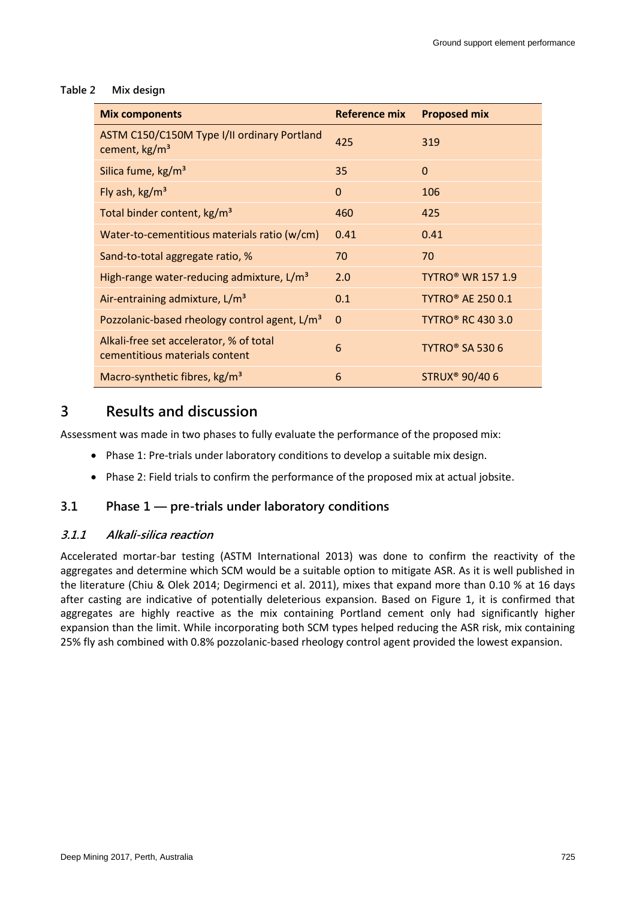#### **Table 2 Mix design**

| <b>Mix components</b>                                                     | <b>Reference mix</b> | <b>Proposed mix</b>                 |
|---------------------------------------------------------------------------|----------------------|-------------------------------------|
| ASTM C150/C150M Type I/II ordinary Portland<br>cement, kg/m <sup>3</sup>  | 425                  | 319                                 |
| Silica fume, kg/m <sup>3</sup>                                            | 35                   | $\Omega$                            |
| Fly ash, $\text{kg/m}^3$                                                  | $\mathbf{0}$         | 106                                 |
| Total binder content, kg/m <sup>3</sup>                                   | 460                  | 425                                 |
| Water-to-cementitious materials ratio (w/cm)                              | 0.41                 | 0.41                                |
| Sand-to-total aggregate ratio, %                                          | 70                   | 70                                  |
| High-range water-reducing admixture, L/m <sup>3</sup>                     | 2.0                  | <b>TYTRO<sup>®</sup> WR 157 1.9</b> |
| Air-entraining admixture, L/m <sup>3</sup>                                | 0.1                  | <b>TYTRO® AE 250 0.1</b>            |
| Pozzolanic-based rheology control agent, L/m <sup>3</sup>                 | 0                    | <b>TYTRO® RC 430 3.0</b>            |
| Alkali-free set accelerator, % of total<br>cementitious materials content | 6                    | TYTRO <sup>®</sup> SA 530 6         |
| Macro-synthetic fibres, kg/m <sup>3</sup>                                 | 6                    | <b>STRUX<sup>®</sup> 90/406</b>     |

# **3 Results and discussion**

Assessment was made in two phases to fully evaluate the performance of the proposed mix:

- Phase 1: Pre-trials under laboratory conditions to develop a suitable mix design.
- Phase 2: Field trials to confirm the performance of the proposed mix at actual jobsite.

# **3.1 Phase 1 — pre-trials under laboratory conditions**

### **3.1.1 Alkali-silica reaction**

Accelerated mortar-bar testing (ASTM International 2013) was done to confirm the reactivity of the aggregates and determine which SCM would be a suitable option to mitigate ASR. As it is well published in the literature (Chiu & Olek 2014; Degirmenci et al. 2011), mixes that expand more than 0.10 % at 16 days after casting are indicative of potentially deleterious expansion. Based on Figure 1, it is confirmed that aggregates are highly reactive as the mix containing Portland cement only had significantly higher expansion than the limit. While incorporating both SCM types helped reducing the ASR risk, mix containing 25% fly ash combined with 0.8% pozzolanic-based rheology control agent provided the lowest expansion.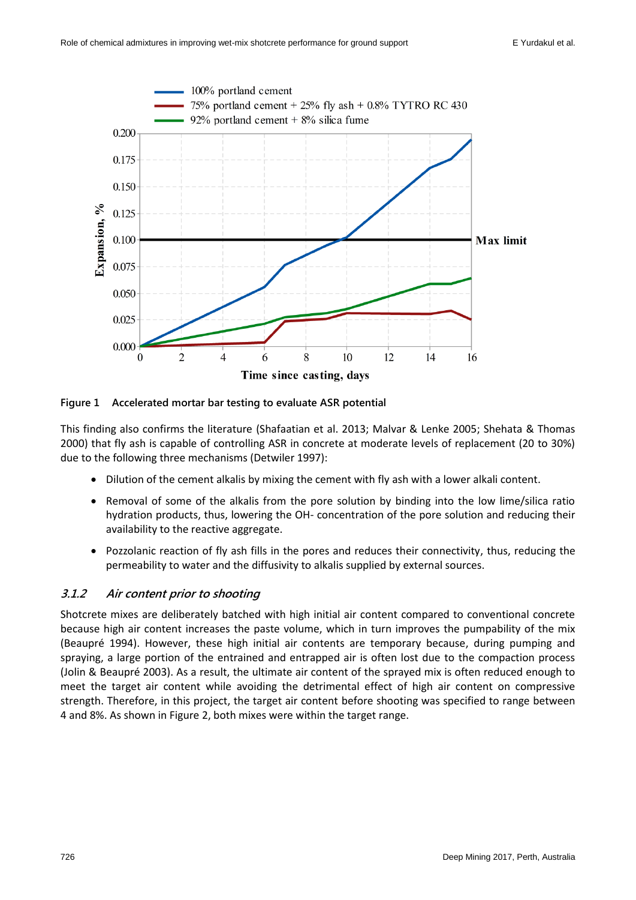

**Figure 1 Accelerated mortar bar testing to evaluate ASR potential**

This finding also confirms the literature (Shafaatian et al. 2013; Malvar & Lenke 2005; Shehata & Thomas 2000) that fly ash is capable of controlling ASR in concrete at moderate levels of replacement (20 to 30%) due to the following three mechanisms (Detwiler 1997):

- Dilution of the cement alkalis by mixing the cement with fly ash with a lower alkali content.
- Removal of some of the alkalis from the pore solution by binding into the low lime/silica ratio hydration products, thus, lowering the OH- concentration of the pore solution and reducing their availability to the reactive aggregate.
- Pozzolanic reaction of fly ash fills in the pores and reduces their connectivity, thus, reducing the permeability to water and the diffusivity to alkalis supplied by external sources.

# **3.1.2 Air content prior to shooting**

Shotcrete mixes are deliberately batched with high initial air content compared to conventional concrete because high air content increases the paste volume, which in turn improves the pumpability of the mix (Beaupré 1994). However, these high initial air contents are temporary because, during pumping and spraying, a large portion of the entrained and entrapped air is often lost due to the compaction process (Jolin & Beaupré 2003). As a result, the ultimate air content of the sprayed mix is often reduced enough to meet the target air content while avoiding the detrimental effect of high air content on compressive strength. Therefore, in this project, the target air content before shooting was specified to range between 4 and 8%. As shown in Figure 2, both mixes were within the target range.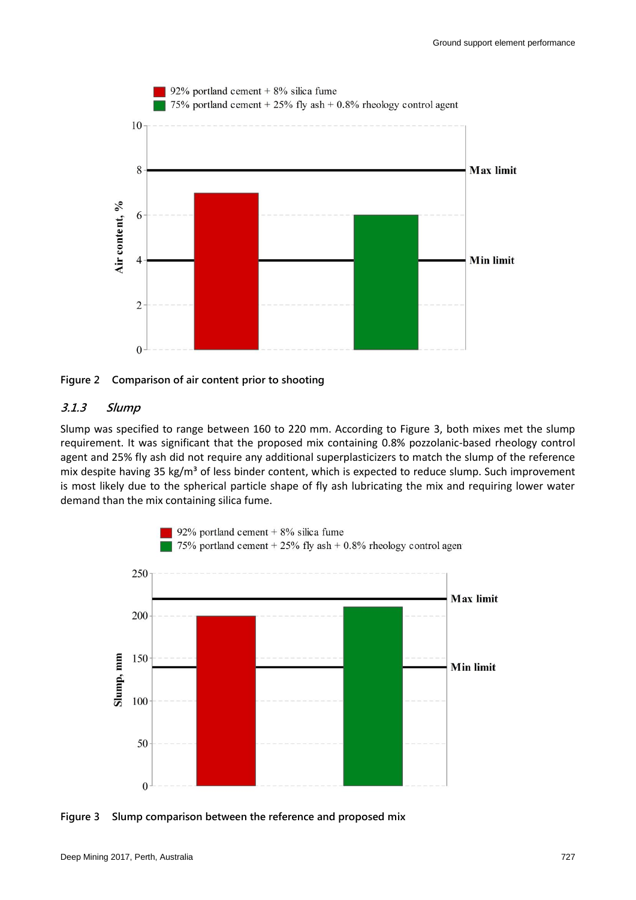

**Figure 2 Comparison of air content prior to shooting**

#### **3.1.3 Slump**

Slump was specified to range between 160 to 220 mm. According to Figure 3, both mixes met the slump requirement. It was significant that the proposed mix containing 0.8% pozzolanic-based rheology control agent and 25% fly ash did not require any additional superplasticizers to match the slump of the reference mix despite having 35 kg/m<sup>3</sup> of less binder content, which is expected to reduce slump. Such improvement is most likely due to the spherical particle shape of fly ash lubricating the mix and requiring lower water demand than the mix containing silica fume.



**Figure 3 Slump comparison between the reference and proposed mix**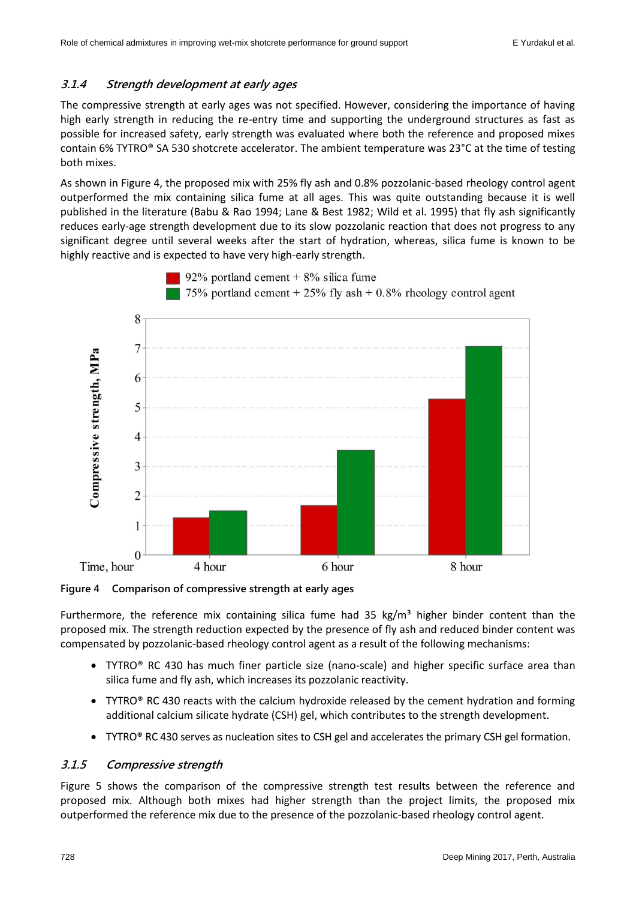### **3.1.4 Strength development at early ages**

The compressive strength at early ages was not specified. However, considering the importance of having high early strength in reducing the re-entry time and supporting the underground structures as fast as possible for increased safety, early strength was evaluated where both the reference and proposed mixes contain 6% TYTRO® SA 530 shotcrete accelerator. The ambient temperature was 23°C at the time of testing both mixes.

As shown in Figure 4, the proposed mix with 25% fly ash and 0.8% pozzolanic-based rheology control agent outperformed the mix containing silica fume at all ages. This was quite outstanding because it is well published in the literature (Babu & Rao 1994; Lane & Best 1982; Wild et al. 1995) that fly ash significantly reduces early-age strength development due to its slow pozzolanic reaction that does not progress to any significant degree until several weeks after the start of hydration, whereas, silica fume is known to be highly reactive and is expected to have very high-early strength.

92% portland cement  $+8\%$  silica fume



**Figure 4 Comparison of compressive strength at early ages**

Furthermore, the reference mix containing silica fume had 35 kg/m<sup>3</sup> higher binder content than the proposed mix. The strength reduction expected by the presence of fly ash and reduced binder content was compensated by pozzolanic-based rheology control agent as a result of the following mechanisms:

- TYTRO® RC 430 has much finer particle size (nano-scale) and higher specific surface area than silica fume and fly ash, which increases its pozzolanic reactivity.
- TYTRO® RC 430 reacts with the calcium hydroxide released by the cement hydration and forming additional calcium silicate hydrate (CSH) gel, which contributes to the strength development.
- TYTRO® RC 430 serves as nucleation sites to CSH gel and accelerates the primary CSH gel formation.

### **3.1.5 Compressive strength**

Figure 5 shows the comparison of the compressive strength test results between the reference and proposed mix. Although both mixes had higher strength than the project limits, the proposed mix outperformed the reference mix due to the presence of the pozzolanic-based rheology control agent.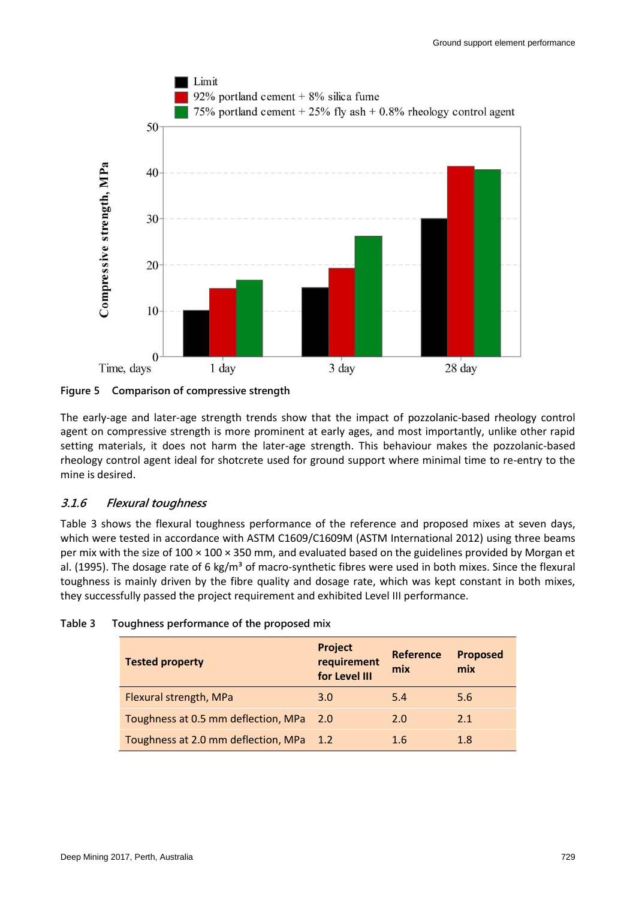

**Figure 5 Comparison of compressive strength**

The early-age and later-age strength trends show that the impact of pozzolanic-based rheology control agent on compressive strength is more prominent at early ages, and most importantly, unlike other rapid setting materials, it does not harm the later-age strength. This behaviour makes the pozzolanic-based rheology control agent ideal for shotcrete used for ground support where minimal time to re-entry to the mine is desired.

# **3.1.6 Flexural toughness**

Table 3 shows the flexural toughness performance of the reference and proposed mixes at seven days, which were tested in accordance with ASTM C1609/C1609M (ASTM International 2012) using three beams per mix with the size of 100 × 100 × 350 mm, and evaluated based on the guidelines provided by Morgan et al. (1995). The dosage rate of 6 kg/m<sup>3</sup> of macro-synthetic fibres were used in both mixes. Since the flexural toughness is mainly driven by the fibre quality and dosage rate, which was kept constant in both mixes, they successfully passed the project requirement and exhibited Level III performance.

| <b>Tested property</b>                  | Project<br>requirement<br>for Level III | <b>Reference</b><br>mix | <b>Proposed</b><br>mix |
|-----------------------------------------|-----------------------------------------|-------------------------|------------------------|
| Flexural strength, MPa                  | 3.0                                     | 5.4                     | 5.6                    |
| Toughness at 0.5 mm deflection, MPa     | 2.0                                     | 2.0                     | 2.1                    |
| Toughness at 2.0 mm deflection, MPa 1.2 |                                         | 1.6                     | 1.8                    |

| Table 3 |  | Toughness performance of the proposed mix |  |  |
|---------|--|-------------------------------------------|--|--|
|---------|--|-------------------------------------------|--|--|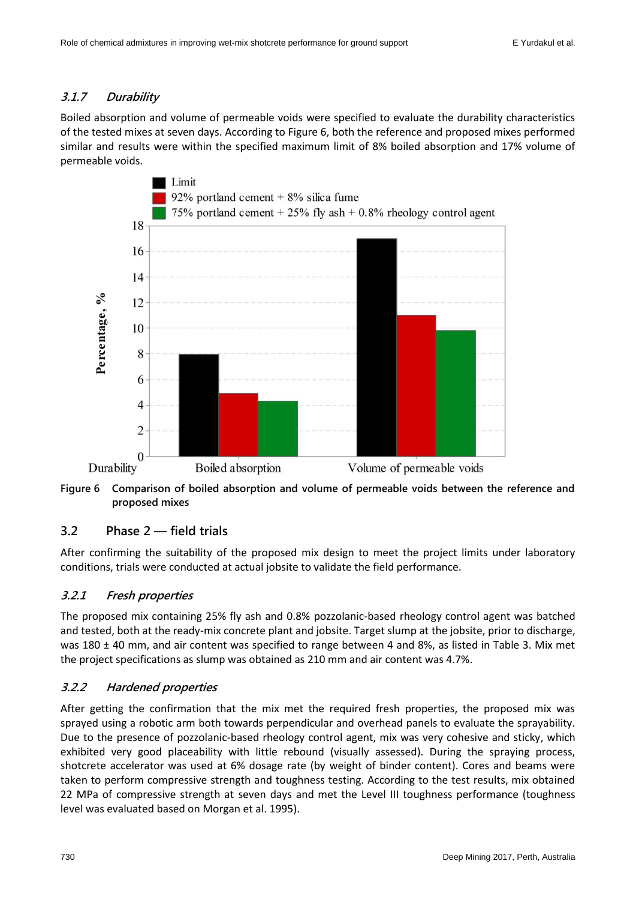# **3.1.7 Durability**

Boiled absorption and volume of permeable voids were specified to evaluate the durability characteristics of the tested mixes at seven days. According to Figure 6, both the reference and proposed mixes performed similar and results were within the specified maximum limit of 8% boiled absorption and 17% volume of permeable voids.



**Figure 6 Comparison of boiled absorption and volume of permeable voids between the reference and proposed mixes**

# **3.2 Phase 2 — field trials**

After confirming the suitability of the proposed mix design to meet the project limits under laboratory conditions, trials were conducted at actual jobsite to validate the field performance.

# **3.2.1 Fresh properties**

The proposed mix containing 25% fly ash and 0.8% pozzolanic-based rheology control agent was batched and tested, both at the ready-mix concrete plant and jobsite. Target slump at the jobsite, prior to discharge, was 180 ± 40 mm, and air content was specified to range between 4 and 8%, as listed in Table 3. Mix met the project specifications as slump was obtained as 210 mm and air content was 4.7%.

# **3.2.2 Hardened properties**

After getting the confirmation that the mix met the required fresh properties, the proposed mix was sprayed using a robotic arm both towards perpendicular and overhead panels to evaluate the sprayability. Due to the presence of pozzolanic-based rheology control agent, mix was very cohesive and sticky, which exhibited very good placeability with little rebound (visually assessed). During the spraying process, shotcrete accelerator was used at 6% dosage rate (by weight of binder content). Cores and beams were taken to perform compressive strength and toughness testing. According to the test results, mix obtained 22 MPa of compressive strength at seven days and met the Level III toughness performance (toughness level was evaluated based on Morgan et al. 1995).